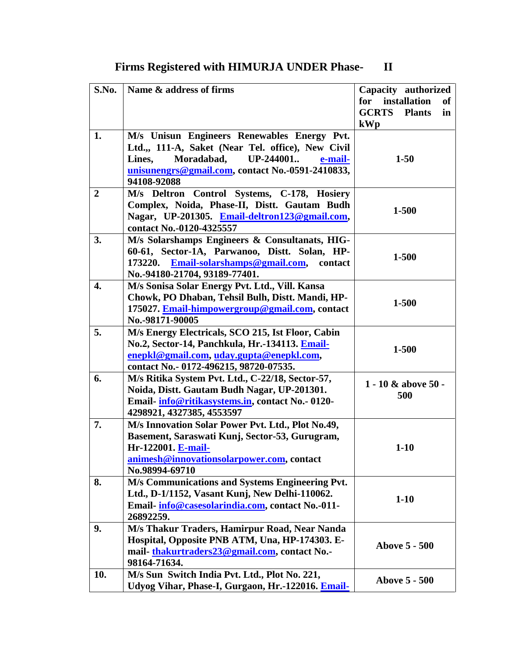| S.No.          | Name & address of firms                            | Capacity authorized                 |  |
|----------------|----------------------------------------------------|-------------------------------------|--|
|                |                                                    | for<br>installation<br><b>of</b>    |  |
|                |                                                    | <b>GCRTS</b><br><b>Plants</b><br>in |  |
|                |                                                    |                                     |  |
|                |                                                    | kWp                                 |  |
| 1.             | M/s Unisun Engineers Renewables Energy Pvt.        |                                     |  |
|                | Ltd.,, 111-A, Saket (Near Tel. office), New Civil  |                                     |  |
|                | UP-244001<br>Moradabad,<br>Lines,<br>e-mail-       | $1-50$                              |  |
|                | unisunengrs@gmail.com, contact No.-0591-2410833,   |                                     |  |
|                | 94108-92088                                        |                                     |  |
| $\overline{2}$ | M/s Deltron Control Systems, C-178, Hosiery        |                                     |  |
|                | Complex, Noida, Phase-II, Distt. Gautam Budh       | 1-500                               |  |
|                | Nagar, UP-201305. Email-deltron123@gmail.com,      |                                     |  |
|                | contact No.-0120-4325557                           |                                     |  |
| 3.             | M/s Solarshamps Engineers & Consultanats, HIG-     |                                     |  |
|                | 60-61, Sector-1A, Parwanoo, Distt. Solan, HP-      |                                     |  |
|                | Email-solarshamps@gmail.com,<br>173220.<br>contact | 1-500                               |  |
|                | No.-94180-21704, 93189-77401.                      |                                     |  |
| 4.             | M/s Sonisa Solar Energy Pvt. Ltd., Vill. Kansa     |                                     |  |
|                | Chowk, PO Dhaban, Tehsil Bulh, Distt. Mandi, HP-   |                                     |  |
|                | 175027. Email-himpowergroup@gmail.com, contact     | 1-500                               |  |
|                | No.-98171-90005                                    |                                     |  |
| 5.             | M/s Energy Electricals, SCO 215, Ist Floor, Cabin  |                                     |  |
|                | No.2, Sector-14, Panchkula, Hr.-134113. Email-     |                                     |  |
|                | enepkl@gmail.com, uday.gupta@enepkl.com,           | 1-500                               |  |
|                | contact No.- 0172-496215, 98720-07535.             |                                     |  |
| 6.             |                                                    |                                     |  |
|                | M/s Ritika System Pvt. Ltd., C-22/18, Sector-57,   | $1 - 10 \&$ above 50 -              |  |
|                | Noida, Distt. Gautam Budh Nagar, UP-201301.        | 500                                 |  |
|                | Email-info@ritikasystems.in, contact No.-0120-     |                                     |  |
|                | 4298921, 4327385, 4553597                          |                                     |  |
| 7.             | M/s Innovation Solar Power Pvt. Ltd., Plot No.49,  |                                     |  |
|                | Basement, Saraswati Kunj, Sector-53, Gurugram,     |                                     |  |
|                | Hr-122001. E-mail-                                 | $1-10$                              |  |
|                | animesh@innovationsolarpower.com, contact          |                                     |  |
|                | No.98994-69710                                     |                                     |  |
| 8.             | M/s Communications and Systems Engineering Pvt.    |                                     |  |
|                | Ltd., D-1/1152, Vasant Kunj, New Delhi-110062.     | $1-10$                              |  |
|                | Email-info@casesolarindia.com, contact No.-011-    |                                     |  |
|                | 26892259.                                          |                                     |  |
| 9.             | M/s Thakur Traders, Hamirpur Road, Near Nanda      |                                     |  |
|                | Hospital, Opposite PNB ATM, Una, HP-174303. E-     | <b>Above 5 - 500</b>                |  |
|                | mail-thakurtraders23@gmail.com, contact No.-       |                                     |  |
|                | 98164-71634.                                       |                                     |  |
| 10.            | M/s Sun Switch India Pvt. Ltd., Plot No. 221,      |                                     |  |
|                |                                                    | <b>Above 5 - 500</b>                |  |

**Udyog Vihar, Phase-I, Gurgaon, Hr.-122016. [Email-](mailto:Email-sumit-jha@sunswitch.in)**

**Firms Registered with HIMURJA UNDER Phase- II**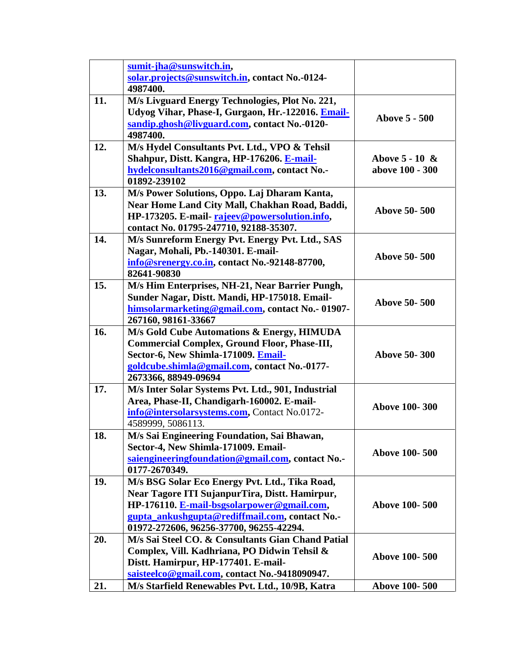|     | sumit-jha@sunswitch.in,                             |                      |  |
|-----|-----------------------------------------------------|----------------------|--|
|     | solar.projects@sunswitch.in, contact No.-0124-      |                      |  |
|     | 4987400.                                            |                      |  |
| 11. | M/s Livguard Energy Technologies, Plot No. 221,     |                      |  |
|     | Udyog Vihar, Phase-I, Gurgaon, Hr.-122016. Email-   |                      |  |
|     | sandip.ghosh@livguard.com, contact No.-0120-        | <b>Above 5 - 500</b> |  |
|     | 4987400.                                            |                      |  |
| 12. | M/s Hydel Consultants Pvt. Ltd., VPO & Tehsil       |                      |  |
|     | Shahpur, Distt. Kangra, HP-176206. E-mail-          | Above $5 - 10 \&$    |  |
|     | hydelconsultants2016@gmail.com, contact No.-        | above 100 - 300      |  |
|     | 01892-239102                                        |                      |  |
| 13. | M/s Power Solutions, Oppo. Laj Dharam Kanta,        |                      |  |
|     | Near Home Land City Mall, Chakhan Road, Baddi,      |                      |  |
|     | HP-173205. E-mail-rajeev@powersolution.info,        | <b>Above 50-500</b>  |  |
|     | contact No. 01795-247710, 92188-35307.              |                      |  |
| 14. | M/s Sunreform Energy Pvt. Energy Pvt. Ltd., SAS     |                      |  |
|     | Nagar, Mohali, Pb.-140301. E-mail-                  |                      |  |
|     | info@srenergy.co.in, contact No.-92148-87700,       | <b>Above 50-500</b>  |  |
|     | 82641-90830                                         |                      |  |
| 15. | M/s Him Enterprises, NH-21, Near Barrier Pungh,     |                      |  |
|     | Sunder Nagar, Distt. Mandi, HP-175018. Email-       |                      |  |
|     | himsolarmarketing@gmail.com, contact No.- 01907-    | <b>Above 50-500</b>  |  |
|     | 267160, 98161-33667                                 |                      |  |
| 16. | M/s Gold Cube Automations & Energy, HIMUDA          |                      |  |
|     | <b>Commercial Complex, Ground Floor, Phase-III,</b> |                      |  |
|     | Sector-6, New Shimla-171009. Email-                 | <b>Above 50-300</b>  |  |
|     | goldcube.shimla@gmail.com, contact No.-0177-        |                      |  |
|     | 2673366, 88949-09694                                |                      |  |
| 17. | M/s Inter Solar Systems Pvt. Ltd., 901, Industrial  |                      |  |
|     | Area, Phase-II, Chandigarh-160002. E-mail-          |                      |  |
|     | info@intersolarsystems.com, Contact No.0172-        | <b>Above 100-300</b> |  |
|     | 4589999, 5086113.                                   |                      |  |
| 18. | M/s Sai Engineering Foundation, Sai Bhawan,         |                      |  |
|     | Sector-4, New Shimla-171009. Email-                 | <b>Above 100-500</b> |  |
|     | saiengineeringfoundation@gmail.com, contact No.-    |                      |  |
|     | 0177-2670349.                                       |                      |  |
| 19. | M/s BSG Solar Eco Energy Pvt. Ltd., Tika Road,      |                      |  |
|     | Near Tagore ITI SujanpurTira, Distt. Hamirpur,      |                      |  |
|     | HP-176110. E-mail-bsgsolarpower@gmail.com,          | <b>Above 100-500</b> |  |
|     | gupta_ankushgupta@rediffmail.com, contact No.-      |                      |  |
|     | 01972-272606, 96256-37700, 96255-42294.             |                      |  |
| 20. | M/s Sai Steel CO. & Consultants Gian Chand Patial   |                      |  |
|     | Complex, Vill. Kadhriana, PO Didwin Tehsil &        |                      |  |
|     | Distt. Hamirpur, HP-177401. E-mail-                 | <b>Above 100-500</b> |  |
|     | saisteelco@gmail.com, contact No.-9418090947.       |                      |  |
| 21. | M/s Starfield Renewables Pvt. Ltd., 10/9B, Katra    | <b>Above 100-500</b> |  |